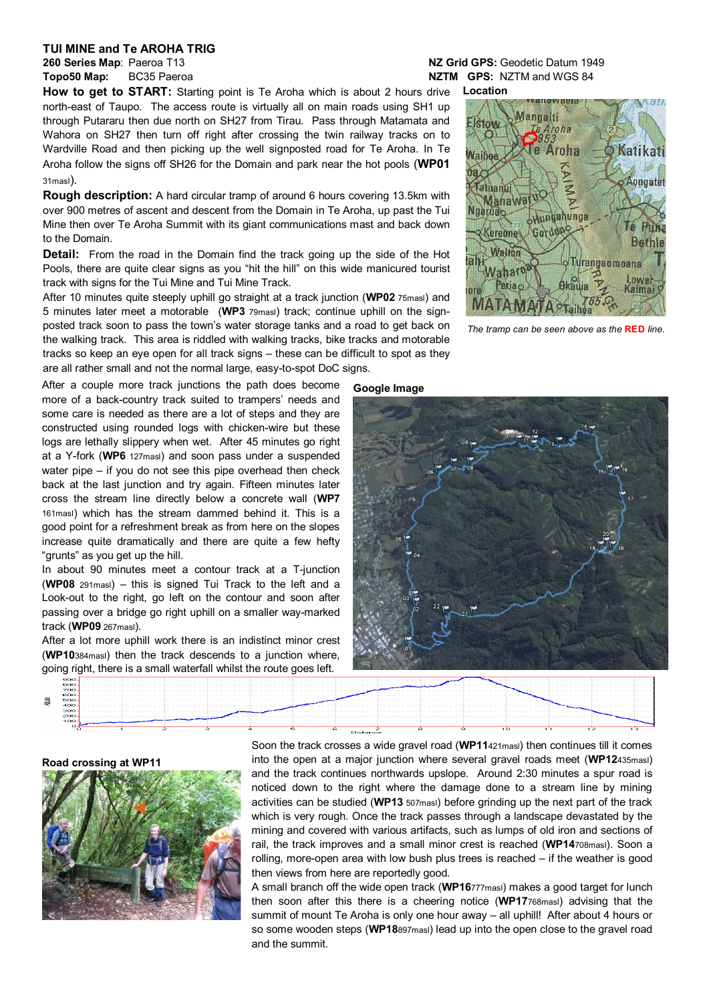## **TUI MINE and Te AROHA TRIG**

How to get to START: Starting point is Te Aroha which is about 2 hours drive north-east of Taupo. The access route is virtually all on main roads using SH1 up through Putararu then due north on SH27 from Tirau. Pass through Matamata and Wahora on SH27 then turn off right after crossing the twin railway tracks on to Wardville Road and then picking up the well signposted road for Te Aroha. In Te Aroha follow the signs off SH26 for the Domain and park near the hot pools (**WP01** 31masl).

**Rough description:** A hard circular tramp of around 6 hours covering 13.5km with over 900 metres of ascent and descent from the Domain in Te Aroha, up past the Tui Mine then over Te Aroha Summit with its giant communications mast and back down to the Domain.

**Detail:** From the road in the Domain find the track going up the side of the Hot Pools, there are quite clear signs as you "hit the hill" on this wide manicured tourist track with signs for the Tui Mine and Tui Mine Track.

After 10 minutes quite steeply uphill go straight at a track junction (**WP02** 75masl) and 5 minutes later meet a motorable (**WP3** 79masl) track; continue uphill on the signposted track soon to pass the town's water storage tanks and a road to get back on the walking track. This area is riddled with walking tracks, bike tracks and motorable tracks so keep an eye open for all track signs – these can be difficult to spot as they are all rather small and not the normal large, easy-to-spot DoC signs.

After a couple more track junctions the path does become more of a back-country track suited to trampers' needs and some care is needed as there are a lot of steps and they are constructed using rounded logs with chicken-wire but these logs are lethally slippery when wet. After 45 minutes go right at a Y-fork (**WP6** 127masl) and soon pass under a suspended water pipe – if you do not see this pipe overhead then check back at the last junction and try again. Fifteen minutes later cross the stream line directly below a concrete wall (**WP7** 161masl) which has the stream dammed behind it. This is a good point for a refreshment break as from here on the slopes increase quite dramatically and there are quite a few hefty "grunts" as you get up the hill.

In about 90 minutes meet a contour track at a T-junction (**WP08** 291masl) – this is signed Tui Track to the left and a Look-out to the right, go left on the contour and soon after passing over a bridge go right uphill on a smaller way-marked track (**WP09** 267masl).

After a lot more uphill work there is an indistinct minor crest (**WP10**384masl) then the track descends to a junction where, going right, there is a small waterfall whilst the route goes left.

## **260 Series Map**: Paeroa T13 **NZ Grid GPS:** Geodetic Datum 1949 **Topo50 Map:** BC35 Paeroa **NATIM GPS:** NATIM GPS: NZTM and WGS 84

**Location Mangaiti** Aroha<br>153 e Aroha

Nati



*The tramp can be seen above as the* **RED** *line.*





## **Road crossing at WP11**



Soon the track crosses a wide gravel road (**WP11**421masl) then continues till it comes into the open at a major junction where several gravel roads meet (**WP12**435masl) and the track continues northwards upslope. Around 2:30 minutes a spur road is noticed down to the right where the damage done to a stream line by mining activities can be studied (**WP13** 507masl) before grinding up the next part of the track which is very rough. Once the track passes through a landscape devastated by the mining and covered with various artifacts, such as lumps of old iron and sections of rail, the track improves and a small minor crest is reached (**WP14**708masl). Soon a rolling, more-open area with low bush plus trees is reached – if the weather is good then views from here are reportedly good.

A small branch off the wide open track (**WP16**777masl) makes a good target for lunch then soon after this there is a cheering notice (**WP17**768masl) advising that the summit of mount Te Aroha is only one hour away – all uphill! After about 4 hours or so some wooden steps (**WP18**897masl) lead up into the open close to the gravel road and the summit.